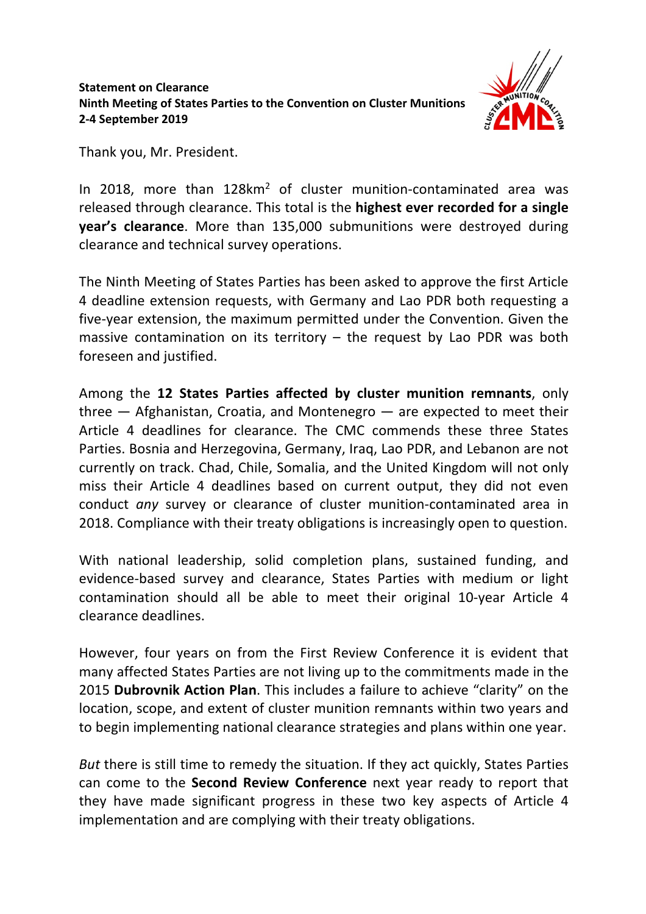

Thank you, Mr. President.

In 2018, more than 128km<sup>2</sup> of cluster munition-contaminated area was released through clearance. This total is the **highest ever recorded for a single year's clearance**. More than 135,000 submunitions were destroyed during clearance and technical survey operations.

The Ninth Meeting of States Parties has been asked to approve the first Article 4 deadline extension requests, with Germany and Lao PDR both requesting a five-year extension, the maximum permitted under the Convention. Given the massive contamination on its territory  $-$  the request by Lao PDR was both foreseen and justified.

Among the **12 States Parties affected by cluster munition remnants**, only three — Afghanistan, Croatia, and Montenegro — are expected to meet their Article 4 deadlines for clearance. The CMC commends these three States Parties. Bosnia and Herzegovina, Germany, Iraq, Lao PDR, and Lebanon are not currently on track. Chad, Chile, Somalia, and the United Kingdom will not only miss their Article 4 deadlines based on current output, they did not even conduct *any* survey or clearance of cluster munition-contaminated area in 2018. Compliance with their treaty obligations is increasingly open to question.

With national leadership, solid completion plans, sustained funding, and evidence-based survey and clearance, States Parties with medium or light contamination should all be able to meet their original 10-year Article 4 clearance deadlines.

However, four years on from the First Review Conference it is evident that many affected States Parties are not living up to the commitments made in the 2015 **Dubrovnik Action Plan**. This includes a failure to achieve "clarity" on the location, scope, and extent of cluster munition remnants within two years and to begin implementing national clearance strategies and plans within one year.

*But* there is still time to remedy the situation. If they act quickly, States Parties can come to the **Second Review Conference** next year ready to report that they have made significant progress in these two key aspects of Article 4 implementation and are complying with their treaty obligations.